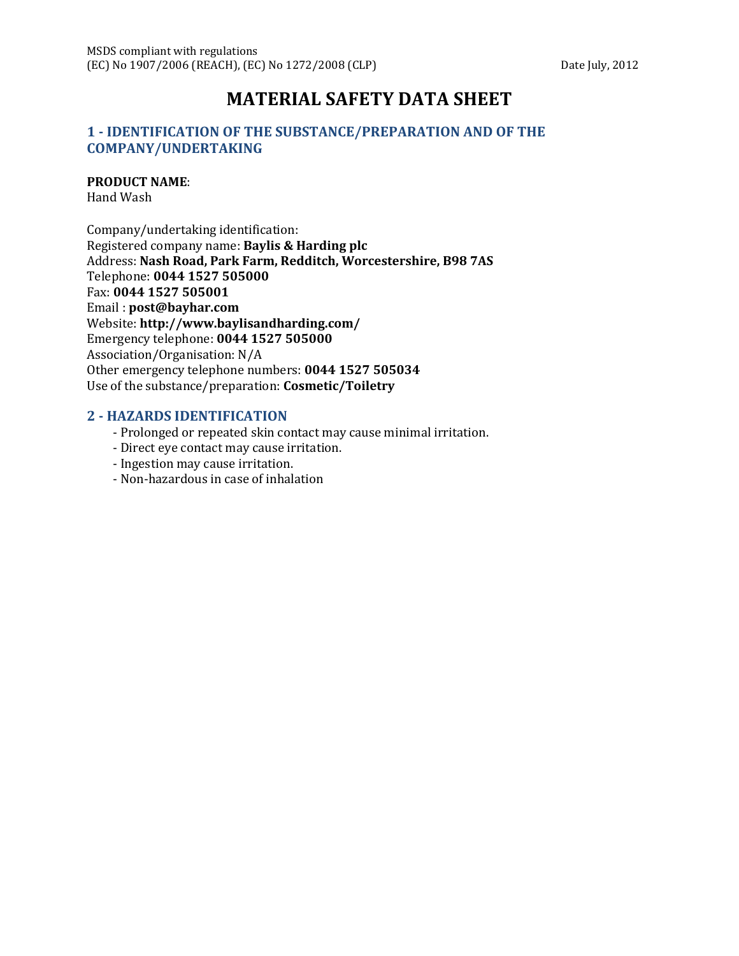# **MATERIAL SAFETY DATA SHEET**

## **1 - IDENTIFICATION OF THE SUBSTANCE/PREPARATION AND OF THE COMPANY/UNDERTAKING**

#### **PRODUCT NAME**:

Hand Wash

Company/undertaking identification: Registered company name: **Baylis & Harding plc** Address: **Nash Road, Park Farm, Redditch, Worcestershire, B98 7AS** Telephone: **0044 1527 505000** Fax: **0044 1527 505001** Email : **post@bayhar.com** Website: **http://www.baylisandharding.com/** Emergency telephone: **0044 1527 505000** Association/Organisation: N/A Other emergency telephone numbers: **0044 1527 505034** Use of the substance/preparation: **Cosmetic/Toiletry**

#### **2 - HAZARDS IDENTIFICATION**

- Prolonged or repeated skin contact may cause minimal irritation.
- Direct eye contact may cause irritation.
- Ingestion may cause irritation.
- Non-hazardous in case of inhalation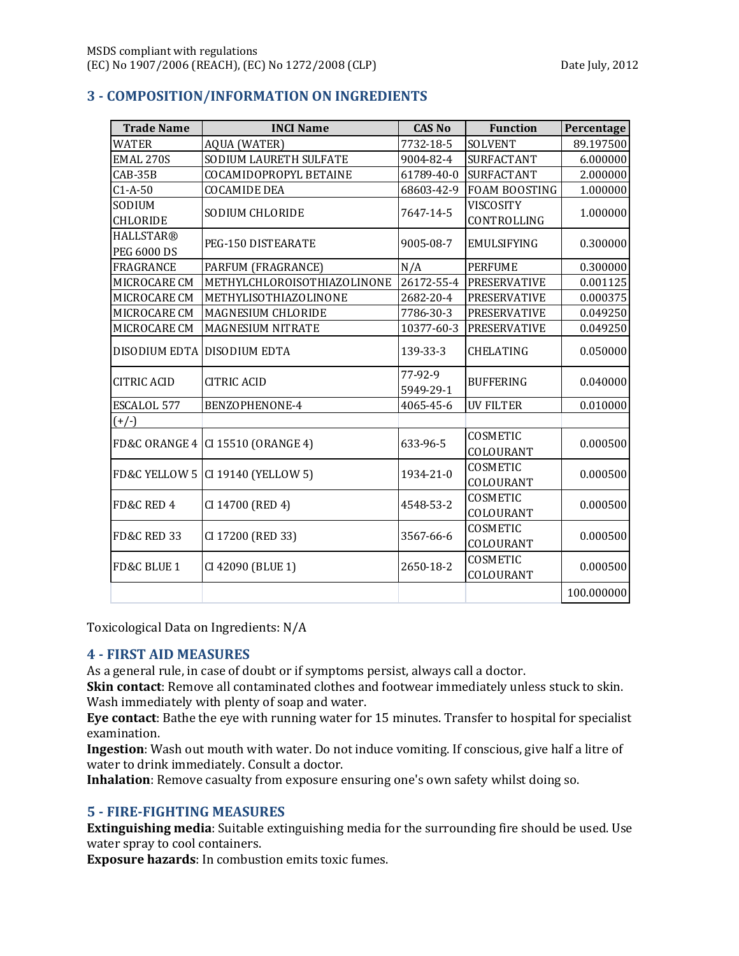| <b>Trade Name</b>      | <b>INCI Name</b>                    | <b>CAS No</b> | <b>Function</b>      | Percentage |
|------------------------|-------------------------------------|---------------|----------------------|------------|
| <b>WATER</b>           | <b>AQUA (WATER)</b>                 | 7732-18-5     | SOLVENT              | 89.197500  |
| <b>EMAL 270S</b>       | SODIUM LAURETH SULFATE              | 9004-82-4     | <b>SURFACTANT</b>    | 6.000000   |
| CAB-35B                | COCAMIDOPROPYL BETAINE              | 61789-40-0    | <b>SURFACTANT</b>    | 2.000000   |
| $C1-A-50$              | <b>COCAMIDE DEA</b>                 | 68603-42-9    | <b>FOAM BOOSTING</b> | 1.000000   |
| SODIUM                 | SODIUM CHLORIDE                     |               | VISCOSITY            | 1.000000   |
| <b>CHLORIDE</b>        |                                     | 7647-14-5     | CONTROLLING          |            |
| <b>HALLSTAR®</b>       | PEG-150 DISTEARATE                  |               | <b>EMULSIFYING</b>   | 0.300000   |
| <b>PEG 6000 DS</b>     |                                     | 9005-08-7     |                      |            |
| FRAGRANCE              | PARFUM (FRAGRANCE)                  | N/A           | <b>PERFUME</b>       | 0.300000   |
| MICROCARE CM           | METHYLCHLOROISOTHIAZOLINONE         | 26172-55-4    | <b>PRESERVATIVE</b>  | 0.001125   |
| MICROCARE CM           | METHYLISOTHIAZOLINONE               | 2682-20-4     | <b>PRESERVATIVE</b>  | 0.000375   |
| MICROCARE CM           | MAGNESIUM CHLORIDE                  | 7786-30-3     | <b>PRESERVATIVE</b>  | 0.049250   |
| MICROCARE CM           | MAGNESIUM NITRATE                   | 10377-60-3    | <b>PRESERVATIVE</b>  | 0.049250   |
| DISODIUM EDTA          | <b>DISODIUM EDTA</b>                | 139-33-3      | CHELATING            | 0.050000   |
| <b>CITRIC ACID</b>     | <b>CITRIC ACID</b>                  | 77-92-9       |                      | 0.040000   |
|                        |                                     | 5949-29-1     | <b>BUFFERING</b>     |            |
| ESCALOL 577            | BENZOPHENONE-4                      | 4065-45-6     | <b>UV FILTER</b>     | 0.010000   |
| $(+/-)$                |                                     |               |                      |            |
|                        | FD&C ORANGE 4   CI 15510 (ORANGE 4) | 633-96-5      | COSMETIC             | 0.000500   |
|                        |                                     |               | COLOURANT            |            |
|                        | FD&C YELLOW 5 CI 19140 (YELLOW 5)   | 1934-21-0     | COSMETIC             | 0.000500   |
|                        |                                     |               | COLOURANT            |            |
| FD&C RED 4             | CI 14700 (RED 4)                    | 4548-53-2     | COSMETIC             | 0.000500   |
|                        |                                     |               | COLOURANT            |            |
| <b>FD&amp;C RED 33</b> | CI 17200 (RED 33)                   | 3567-66-6     | COSMETIC             | 0.000500   |
|                        |                                     |               | COLOURANT            |            |
| FD&C BLUE 1            | CI 42090 (BLUE 1)                   | 2650-18-2     | COSMETIC             | 0.000500   |
|                        |                                     |               | COLOURANT            |            |
|                        |                                     |               |                      | 100.000000 |

## **3 - COMPOSITION/INFORMATION ON INGREDIENTS**

Toxicological Data on Ingredients: N/A

#### **4 - FIRST AID MEASURES**

As a general rule, in case of doubt or if symptoms persist, always call a doctor.

**Skin contact**: Remove all contaminated clothes and footwear immediately unless stuck to skin. Wash immediately with plenty of soap and water.

**Eye contact**: Bathe the eye with running water for 15 minutes. Transfer to hospital for specialist examination.

**Ingestion**: Wash out mouth with water. Do not induce vomiting. If conscious, give half a litre of water to drink immediately. Consult a doctor.

**Inhalation**: Remove casualty from exposure ensuring one's own safety whilst doing so.

## **5 - FIRE-FIGHTING MEASURES**

**Extinguishing media**: Suitable extinguishing media for the surrounding fire should be used. Use water spray to cool containers.

**Exposure hazards**: In combustion emits toxic fumes.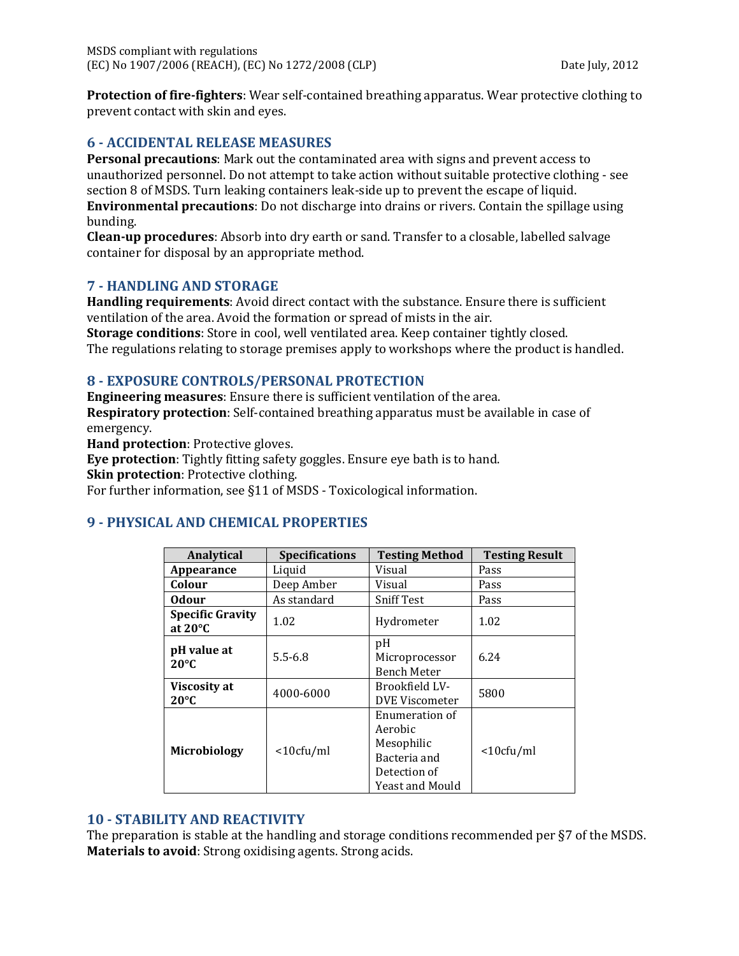**Protection of fire-fighters**: Wear self-contained breathing apparatus. Wear protective clothing to prevent contact with skin and eyes.

#### **6 - ACCIDENTAL RELEASE MEASURES**

**Personal precautions**: Mark out the contaminated area with signs and prevent access to unauthorized personnel. Do not attempt to take action without suitable protective clothing - see section 8 of MSDS. Turn leaking containers leak-side up to prevent the escape of liquid. **Environmental precautions**: Do not discharge into drains or rivers. Contain the spillage using bunding.

**Clean-up procedures**: Absorb into dry earth or sand. Transfer to a closable, labelled salvage container for disposal by an appropriate method.

#### **7 - HANDLING AND STORAGE**

**Handling requirements**: Avoid direct contact with the substance. Ensure there is sufficient ventilation of the area. Avoid the formation or spread of mists in the air.

**Storage conditions**: Store in cool, well ventilated area. Keep container tightly closed. The regulations relating to storage premises apply to workshops where the product is handled.

#### **8 - EXPOSURE CONTROLS/PERSONAL PROTECTION**

**Engineering measures**: Ensure there is sufficient ventilation of the area. **Respiratory protection**: Self-contained breathing apparatus must be available in case of emergency.

**Hand protection**: Protective gloves.

**Eye protection**: Tightly fitting safety goggles. Ensure eye bath is to hand.

**Skin protection**: Protective clothing.

For further information, see §11 of MSDS - Toxicological information.

#### **9 - PHYSICAL AND CHEMICAL PROPERTIES**

| Analytical                                   | <b>Specifications</b> | <b>Testing Method</b>                                                                      | <b>Testing Result</b> |
|----------------------------------------------|-----------------------|--------------------------------------------------------------------------------------------|-----------------------|
| Appearance                                   | Liquid                | Visual                                                                                     | Pass                  |
| Colour                                       | Deep Amber            | Visual                                                                                     | Pass                  |
| <b>Odour</b>                                 | As standard           | <b>Sniff Test</b>                                                                          | Pass                  |
| <b>Specific Gravity</b><br>at $20^{\circ}$ C | 1.02                  | Hydrometer                                                                                 | 1.02                  |
| pH value at<br>$20^{\circ}$ C                | $5.5 - 6.8$           | pH<br>Microprocessor<br><b>Bench Meter</b>                                                 | 6.24                  |
| Viscosity at<br>$20^{\circ}$ C               | 4000-6000             | Brookfield LV-<br>DVE Viscometer                                                           | 5800                  |
| <b>Microbiology</b>                          | $<$ 10 $cfu/ml$       | Enumeration of<br>Aerobic<br>Mesophilic<br>Bacteria and<br>Detection of<br>Yeast and Mould | $<$ 10 $cfu/ml$       |

#### **10 - STABILITY AND REACTIVITY**

The preparation is stable at the handling and storage conditions recommended per §7 of the MSDS. **Materials to avoid**: Strong oxidising agents. Strong acids.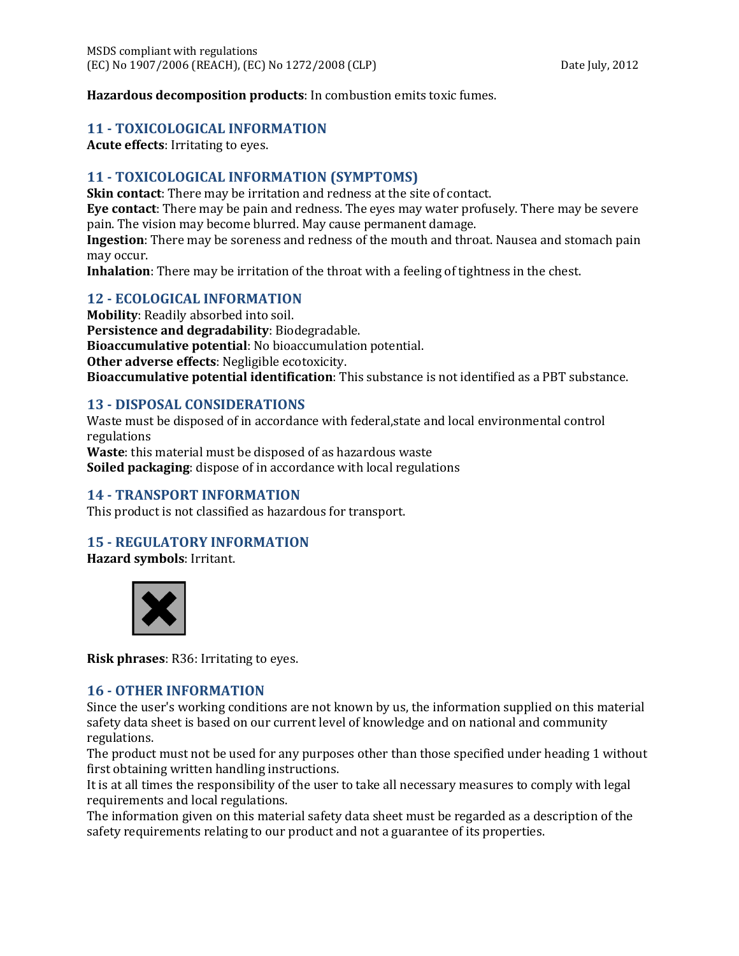**Hazardous decomposition products**: In combustion emits toxic fumes.

#### **11 - TOXICOLOGICAL INFORMATION**

**Acute effects**: Irritating to eyes.

# **11 - TOXICOLOGICAL INFORMATION (SYMPTOMS)**

**Skin contact**: There may be irritation and redness at the site of contact.

**Eye contact**: There may be pain and redness. The eyes may water profusely. There may be severe pain. The vision may become blurred. May cause permanent damage.

**Ingestion**: There may be soreness and redness of the mouth and throat. Nausea and stomach pain may occur.

**Inhalation**: There may be irritation of the throat with a feeling of tightness in the chest.

# **12 - ECOLOGICAL INFORMATION**

**Mobility**: Readily absorbed into soil. **Persistence and degradability**: Biodegradable. **Bioaccumulative potential**: No bioaccumulation potential. **Other adverse effects**: Negligible ecotoxicity. **Bioaccumulative potential identification**: This substance is not identified as a PBT substance.

## **13 - DISPOSAL CONSIDERATIONS**

Waste must be disposed of in accordance with federal,state and local environmental control regulations

**Waste**: this material must be disposed of as hazardous waste **Soiled packaging**: dispose of in accordance with local regulations

# **14 - TRANSPORT INFORMATION**

This product is not classified as hazardous for transport.

# **15 - REGULATORY INFORMATION**

**Hazard symbols**: Irritant.



**Risk phrases**: R36: Irritating to eyes.

#### **16 - OTHER INFORMATION**

Since the user's working conditions are not known by us, the information supplied on this material safety data sheet is based on our current level of knowledge and on national and community regulations.

The product must not be used for any purposes other than those specified under heading 1 without first obtaining written handling instructions.

It is at all times the responsibility of the user to take all necessary measures to comply with legal requirements and local regulations.

The information given on this material safety data sheet must be regarded as a description of the safety requirements relating to our product and not a guarantee of its properties.